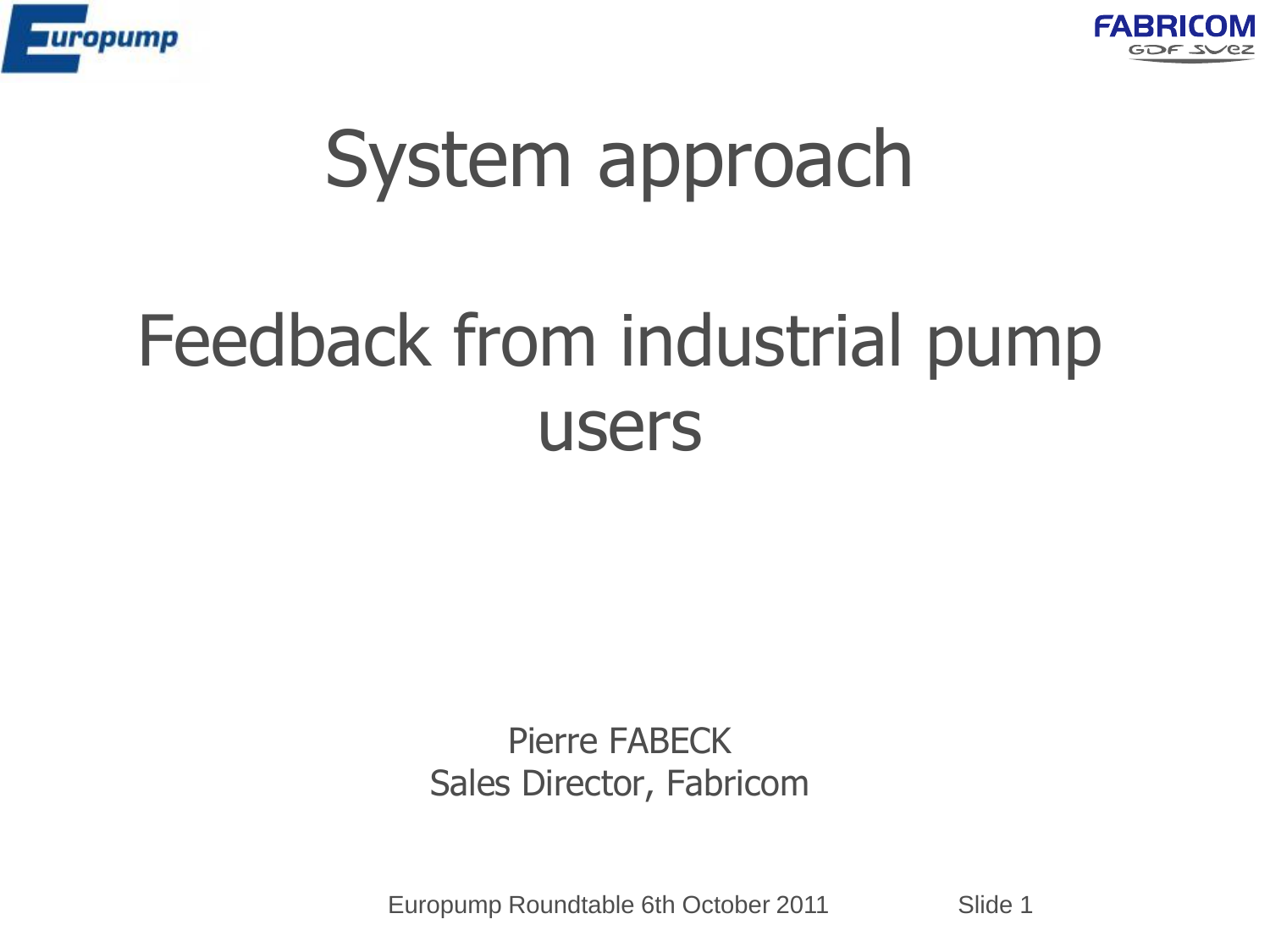



# System approach

## Feedback from industrial pump users

Pierre FABECK Sales Director, Fabricom

Europump Roundtable 6th October 2011 Slide 1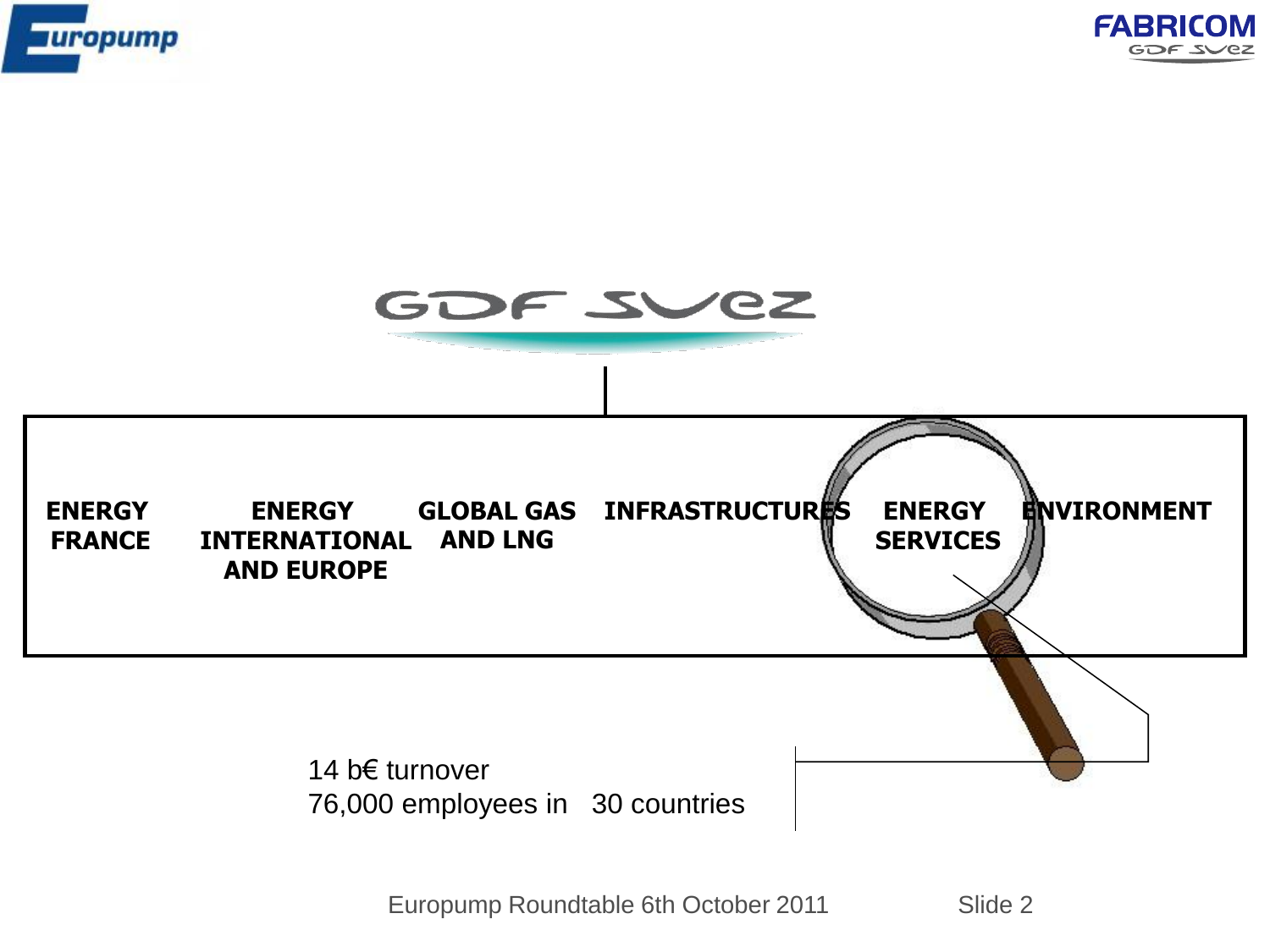





76,000 employees in 30 countries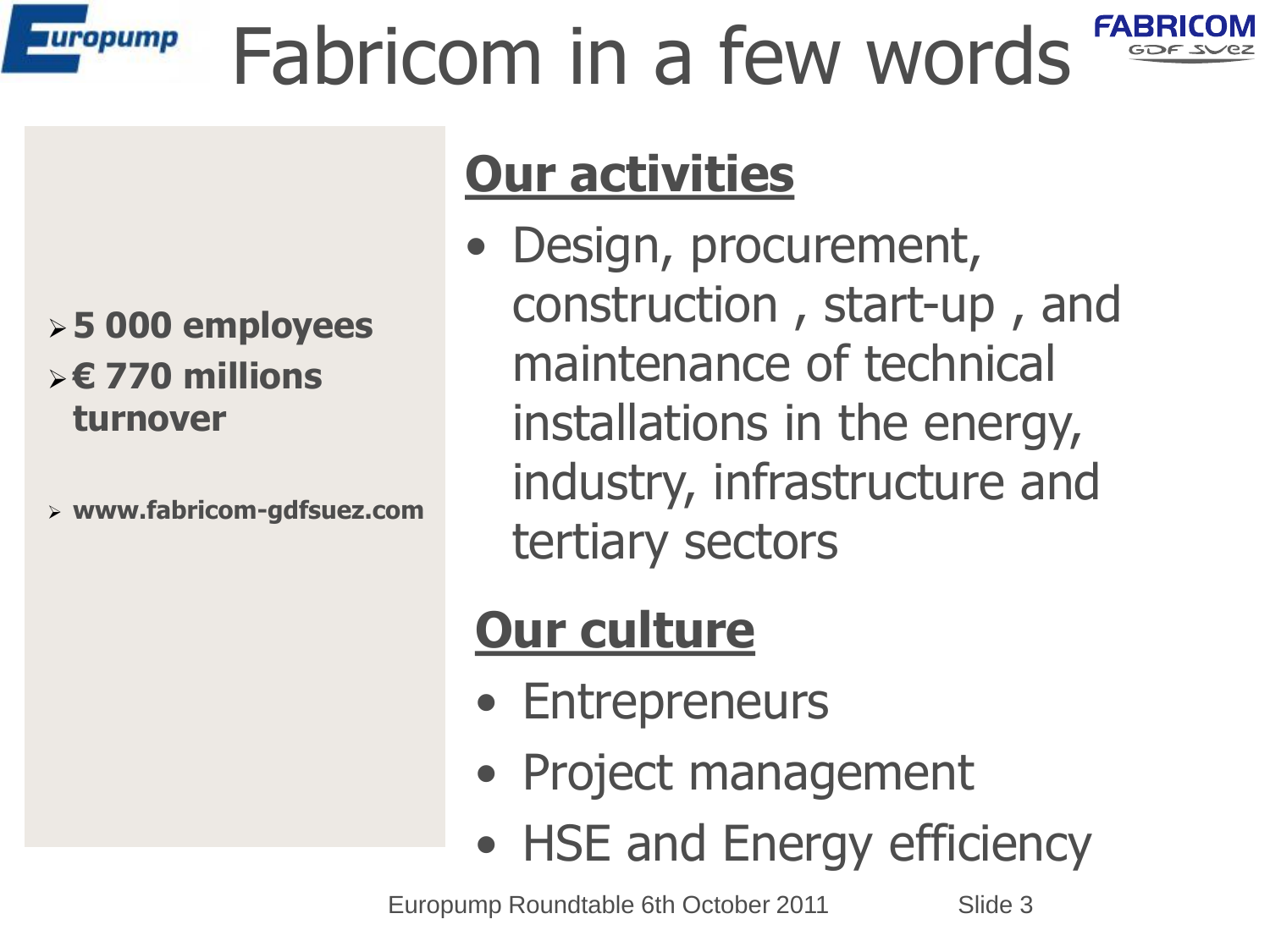#### Fabricom in a few words **uropump**



#### **Our activities**

• Design, procurement, construction , start-up , and maintenance of technical installations in the energy, industry, infrastructure and tertiary sectors

#### **Our culture**

- Entrepreneurs
- Project management
- HSE and Energy efficiency

Europump Roundtable 6th October 2011 Slide 3

#### **5 000 employees € 770 millions turnover**

**www.fabricom-gdfsuez.com**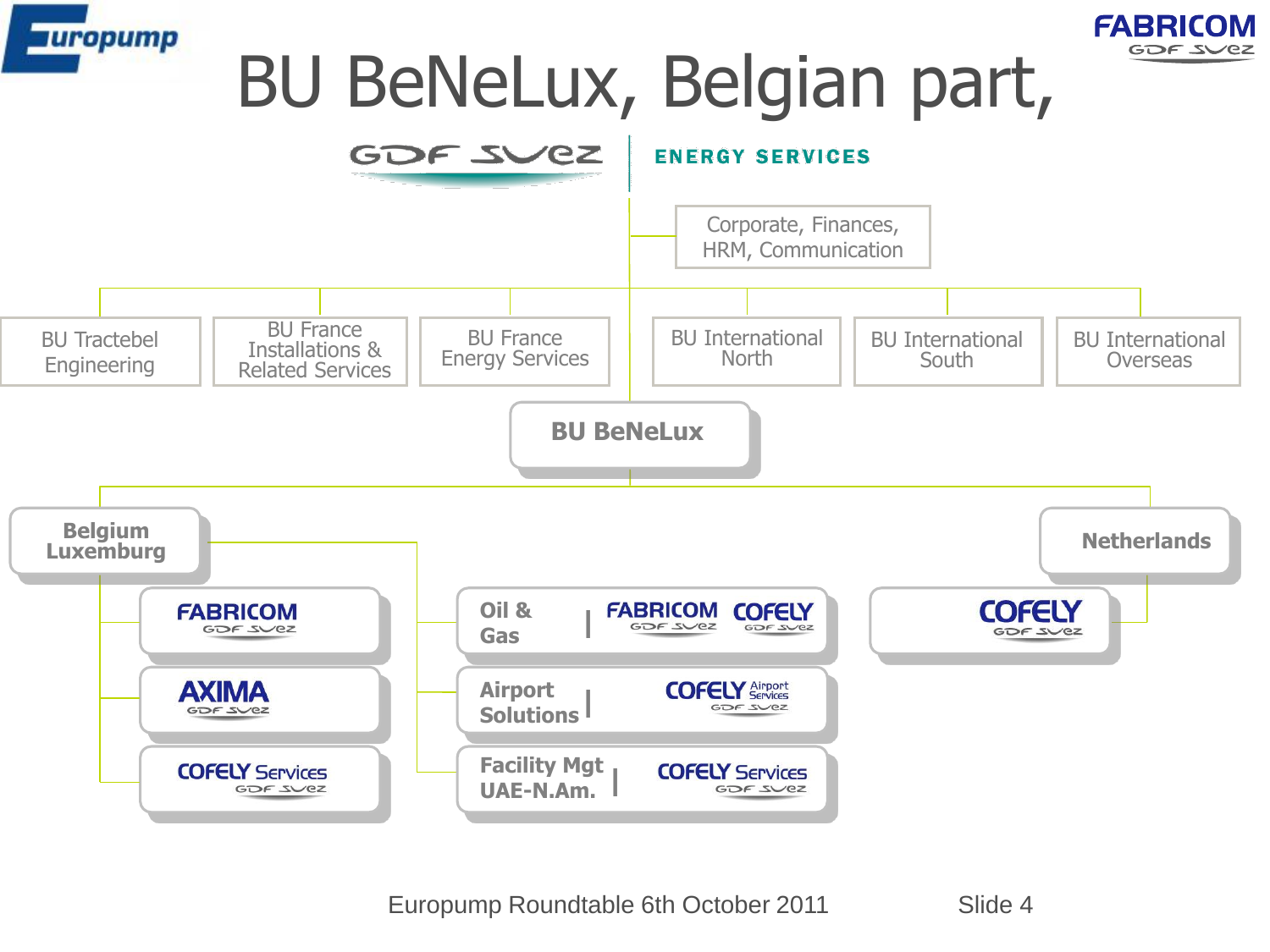



## BU BeNeLux, Belgian part,

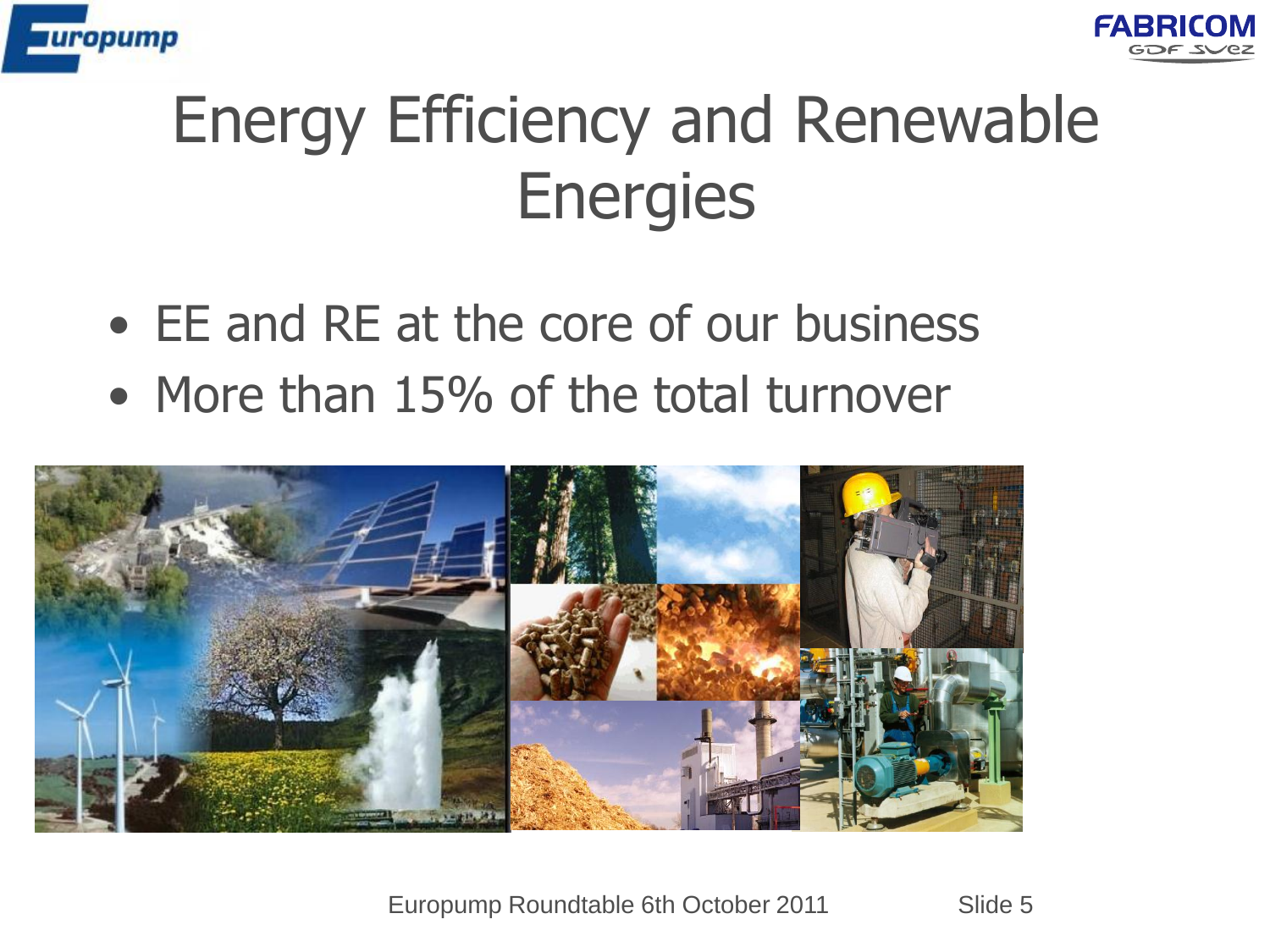



## Energy Efficiency and Renewable **Energies**

- EE and RE at the core of our business
- More than 15% of the total turnover

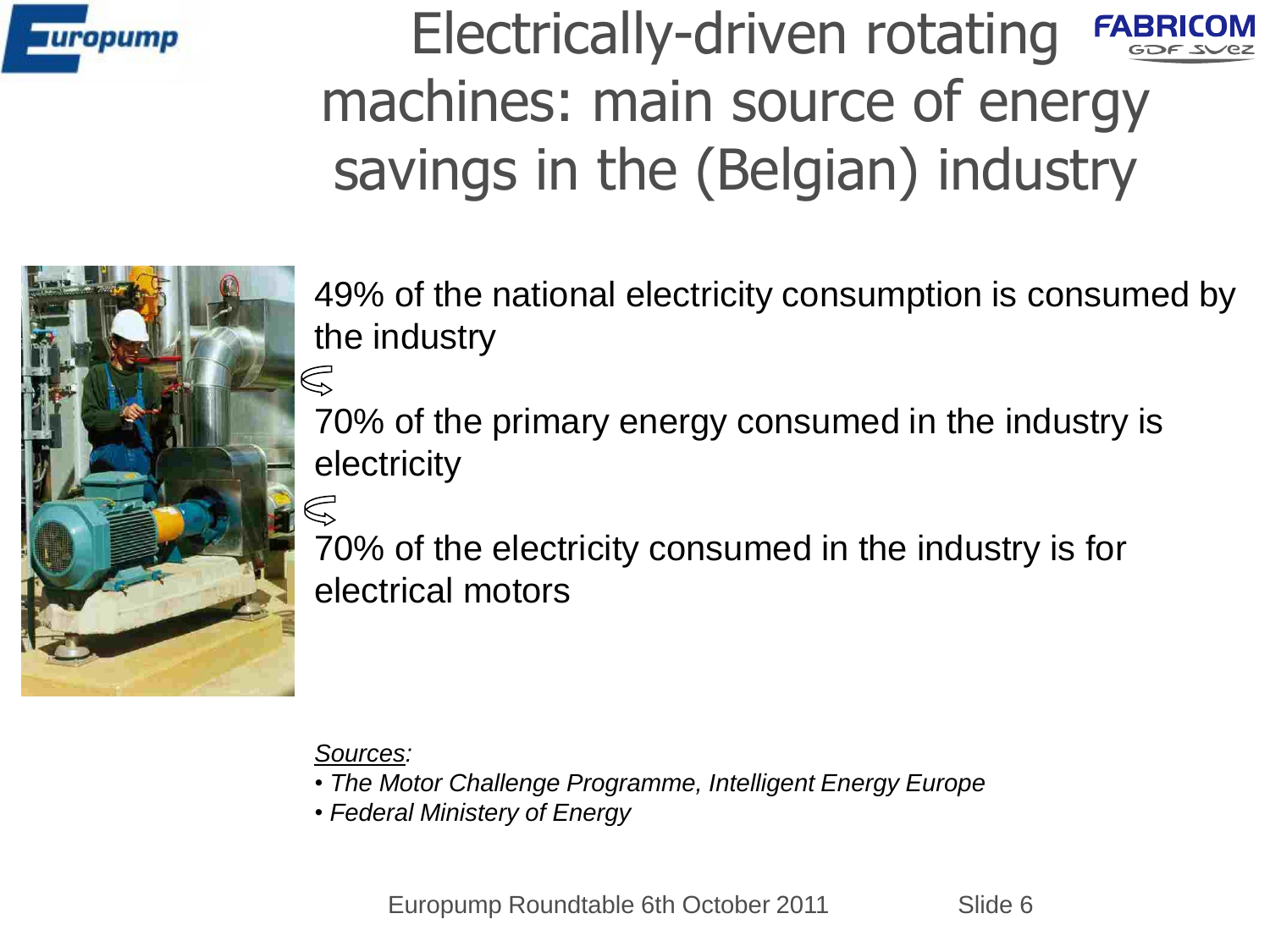

Electrically-driven rotating FABRICOM machines: main source of energy savings in the (Belgian) industry



49% of the national electricity consumption is consumed by the industry

70% of the primary energy consumed in the industry is electricity

70% of the electricity consumed in the industry is for electrical motors

*Sources:* 

- *The Motor Challenge Programme, Intelligent Energy Europe*
- *Federal Ministery of Energy*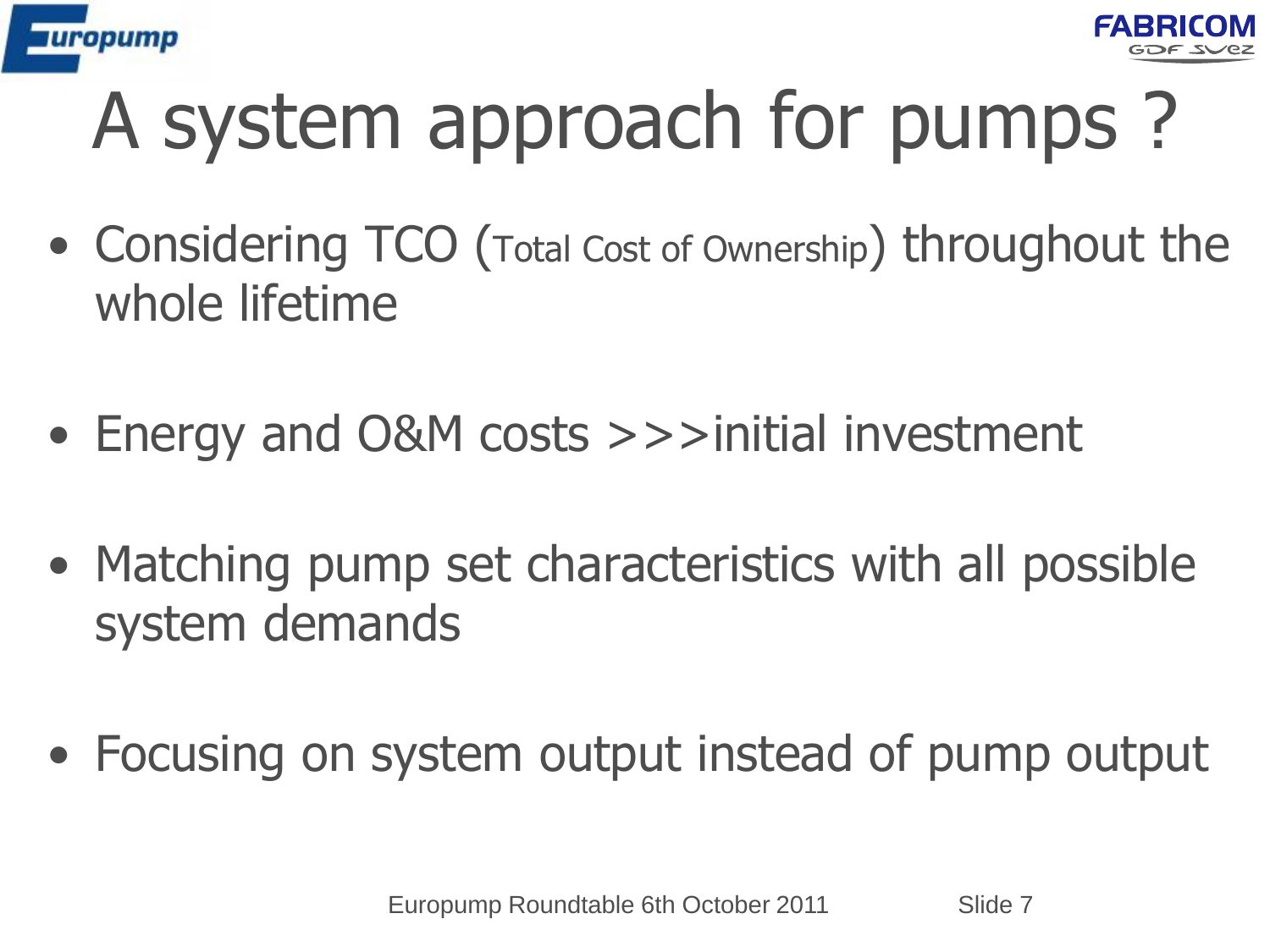



# A system approach for pumps ?

- Considering TCO (Total Cost of Ownership) throughout the whole lifetime
- Energy and O&M costs >>>initial investment
- Matching pump set characteristics with all possible system demands
- Focusing on system output instead of pump output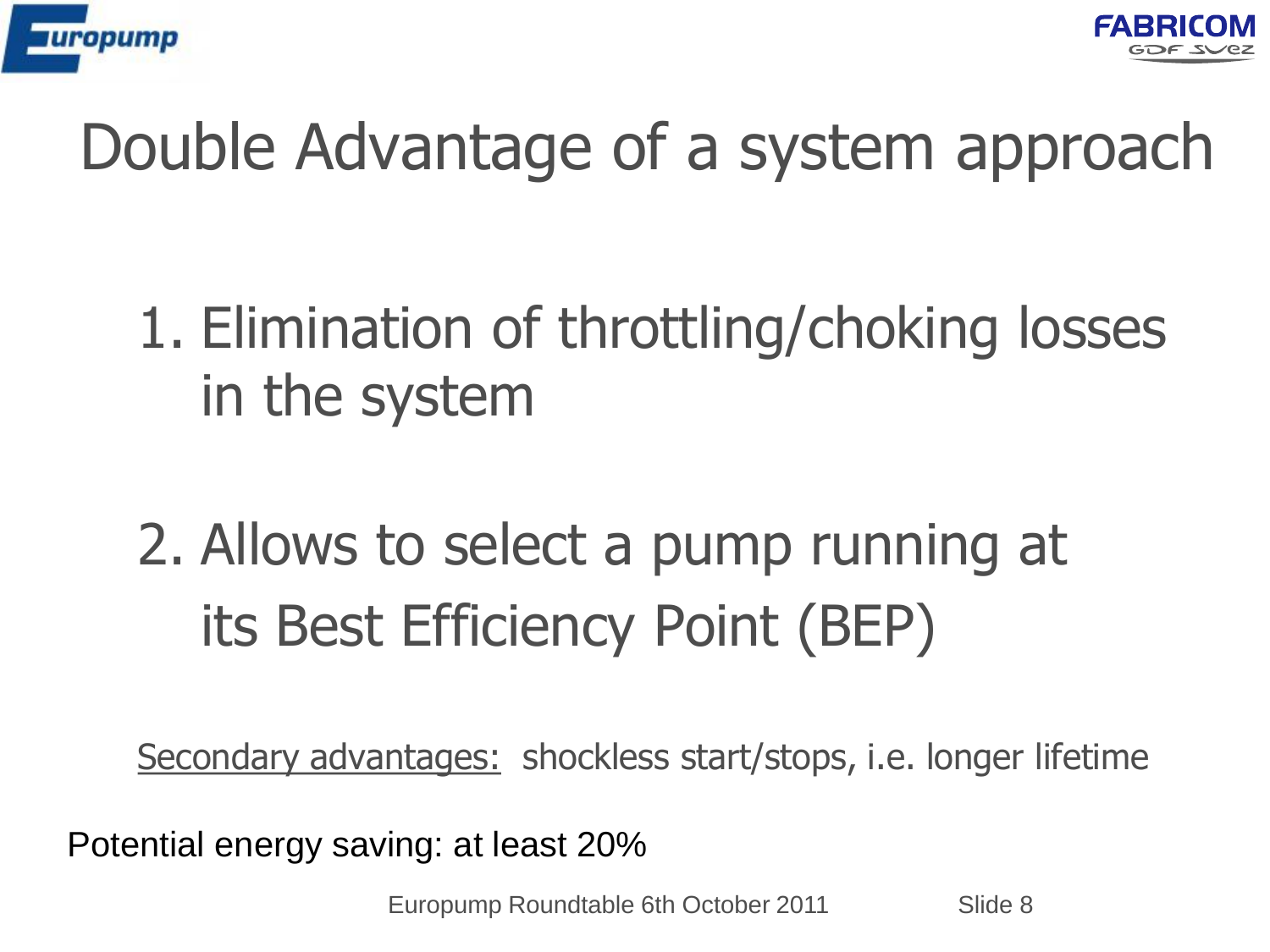



### Double Advantage of a system approach

### 1. Elimination of throttling/choking losses in the system

## 2. Allows to select a pump running at its Best Efficiency Point (BEP)

Secondary advantages: shockless start/stops, i.e. longer lifetime

Potential energy saving: at least 20%

Europump Roundtable 6th October 2011 Slide 8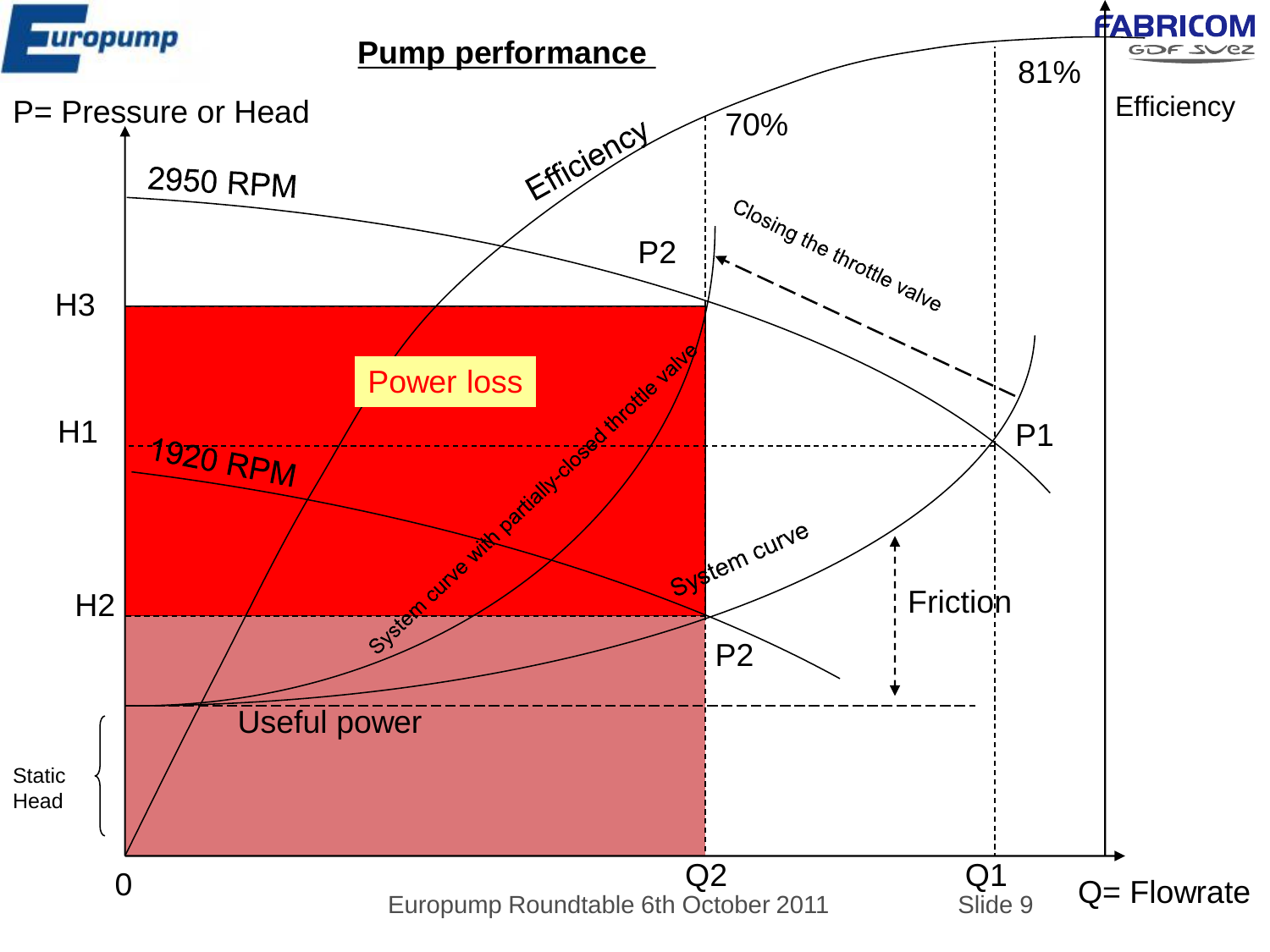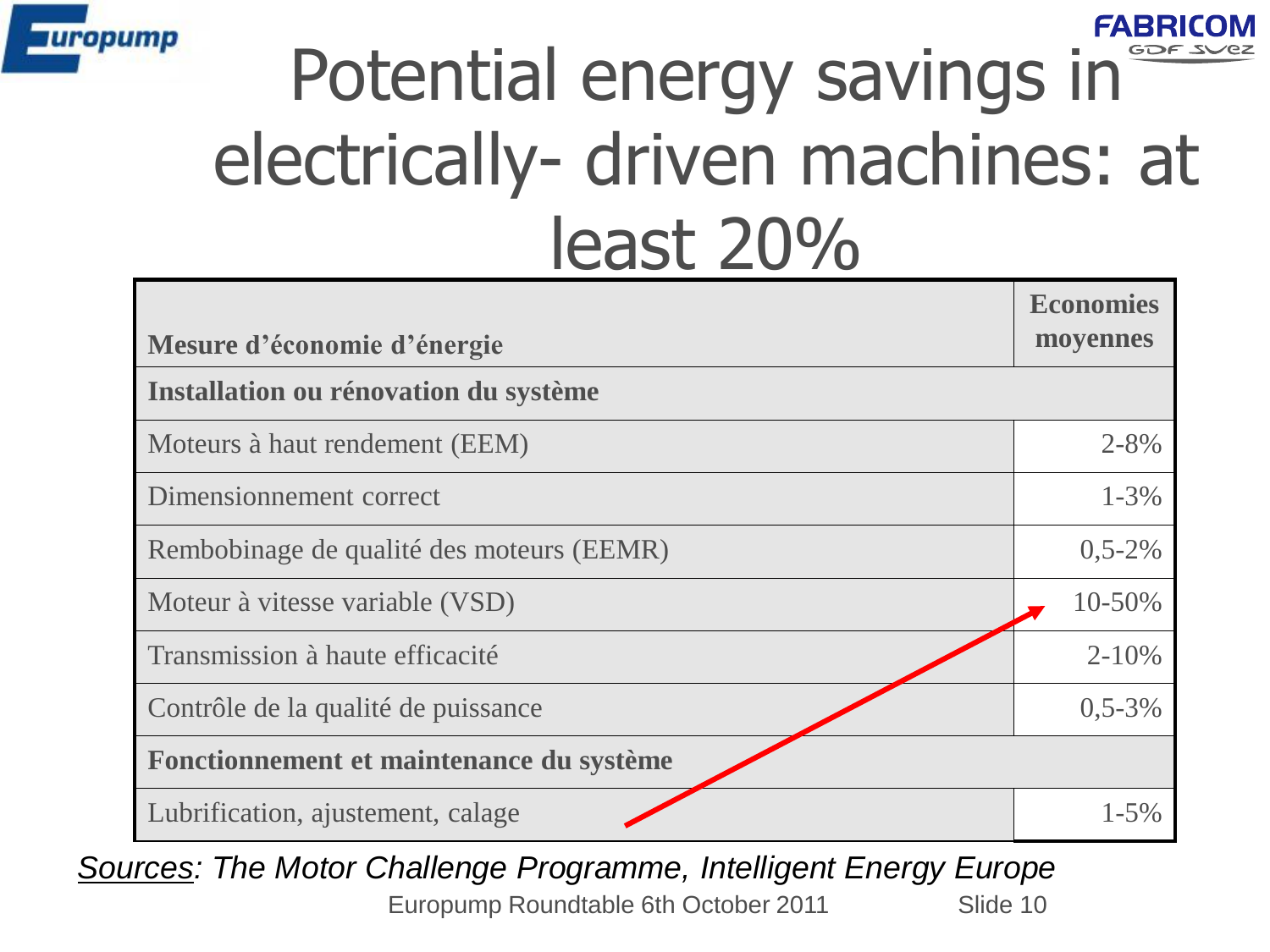

#### FABRICOM Potential energy savings in electrically- driven machines: at least 20%

| Mesure d'économie d'énergie               | <b>Economies</b><br>moyennes |
|-------------------------------------------|------------------------------|
| Installation ou rénovation du système     |                              |
| Moteurs à haut rendement (EEM)            | $2 - 8\%$                    |
| Dimensionnement correct                   | $1 - 3\%$                    |
| Rembobinage de qualité des moteurs (EEMR) | $0,5-2%$                     |
| Moteur à vitesse variable (VSD)           | 10-50%                       |
| Transmission à haute efficacité           | $2 - 10%$                    |
| Contrôle de la qualité de puissance       | $0,5-3%$                     |
| Fonctionnement et maintenance du système  |                              |
| Lubrification, ajustement, calage         | $1 - 5\%$                    |

Europump Roundtable 6th October 2011 Slide 10 *Sources: The Motor Challenge Programme, Intelligent Energy Europe*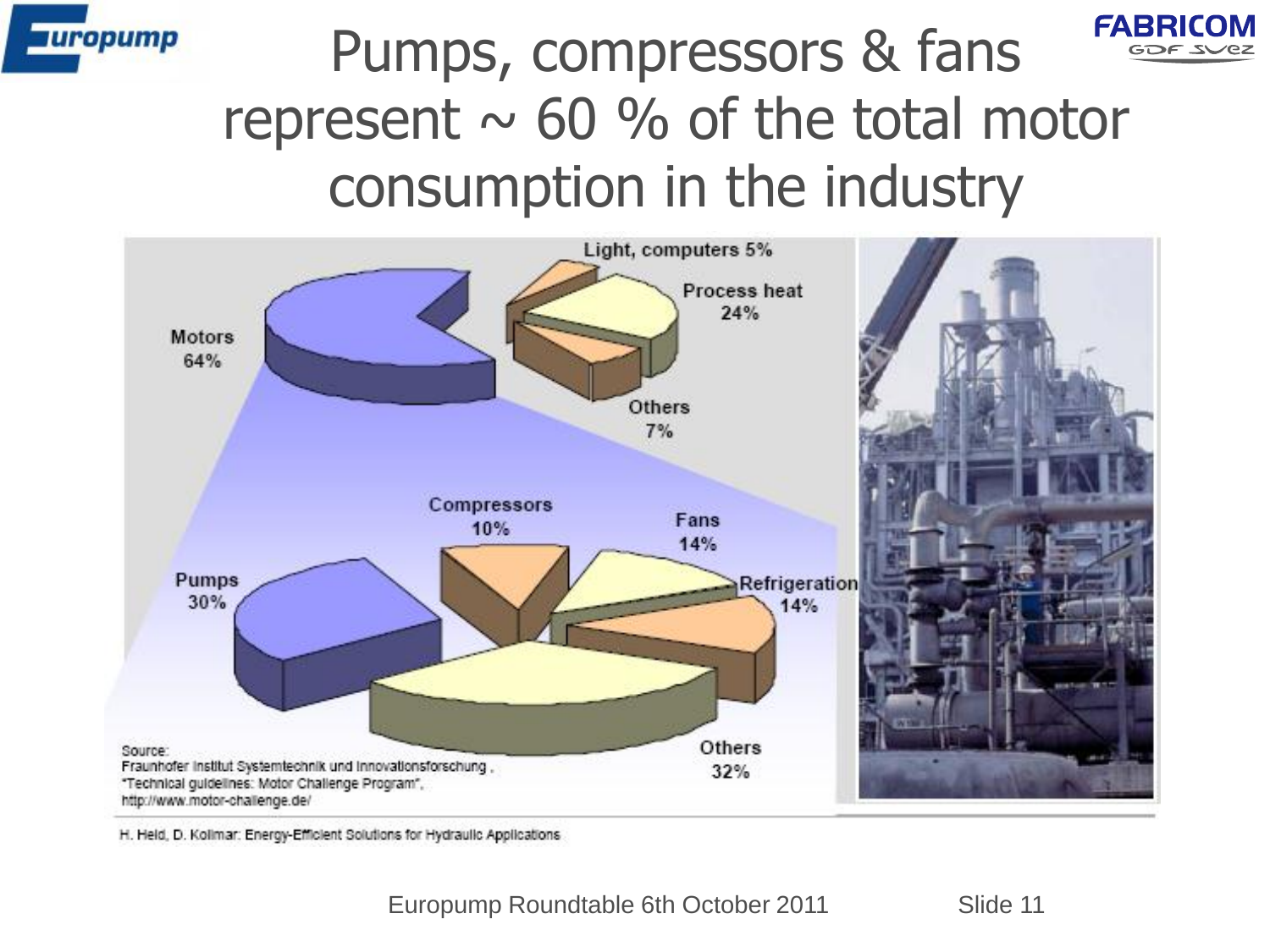



#### Pumps, compressors & fans represent  $\sim$  60 % of the total motor consumption in the industry



H. Held, D. Kollmar: Energy-Efficient Solutions for Hydraulic Applications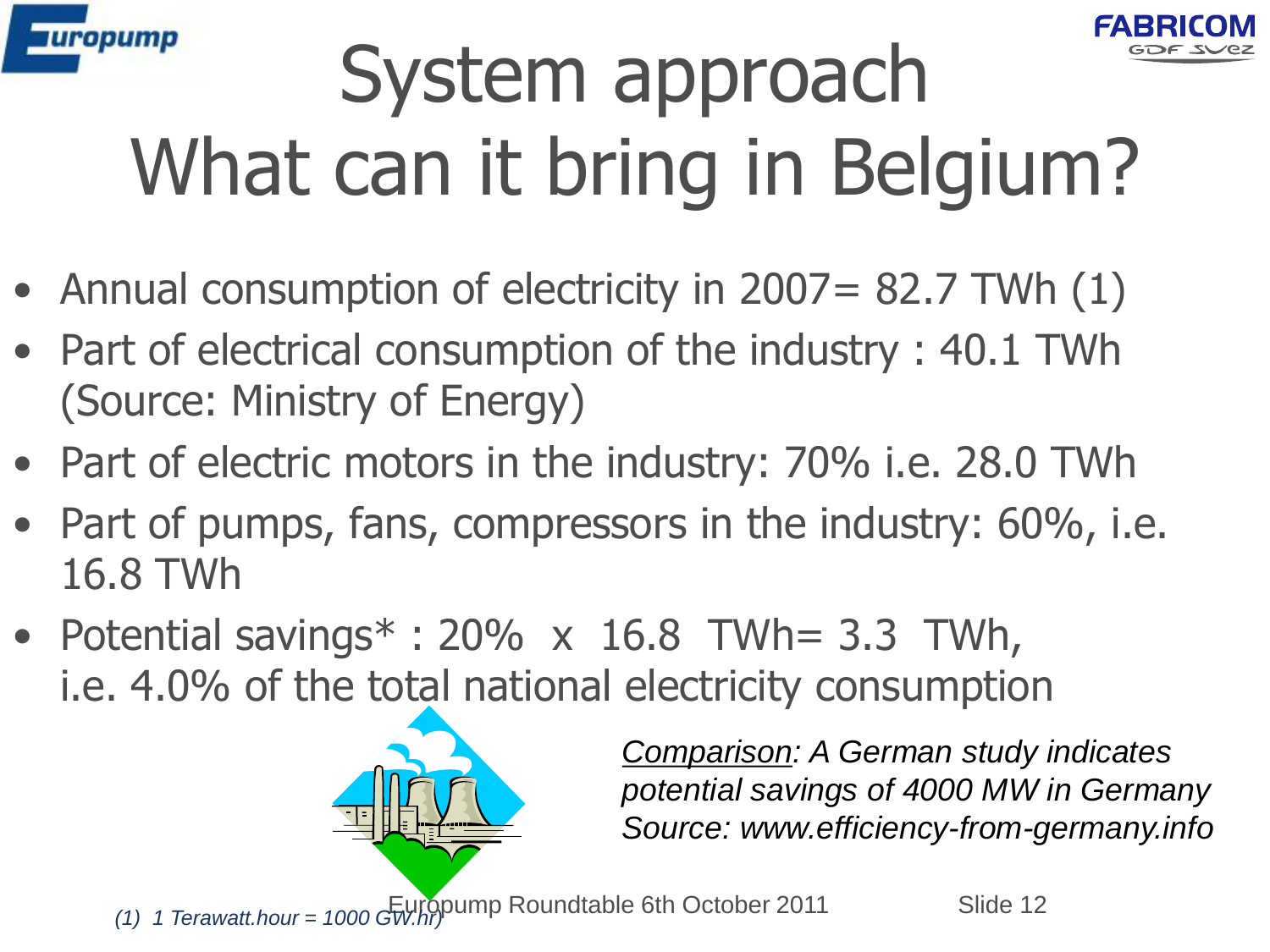



# System approach What can it bring in Belgium?

- Annual consumption of electricity in 2007 = 82.7 TWh (1)
- Part of electrical consumption of the industry : 40.1 TWh (Source: Ministry of Energy)
- Part of electric motors in the industry: 70% i.e. 28.0 TWh
- Part of pumps, fans, compressors in the industry: 60%, i.e. 16.8 TWh
- Potential savings $*$ : 20% x 16.8 TWh= 3.3 TWh, i.e. 4.0% of the total national electricity consumption



*Comparison: A German study indicates potential savings of 4000 MW in Germany Source: www.efficiency-from-germany.info*

(1) 1 Terawatt.hour = 1000 GW.hr) Roundtable 6th October 2011 Slide 12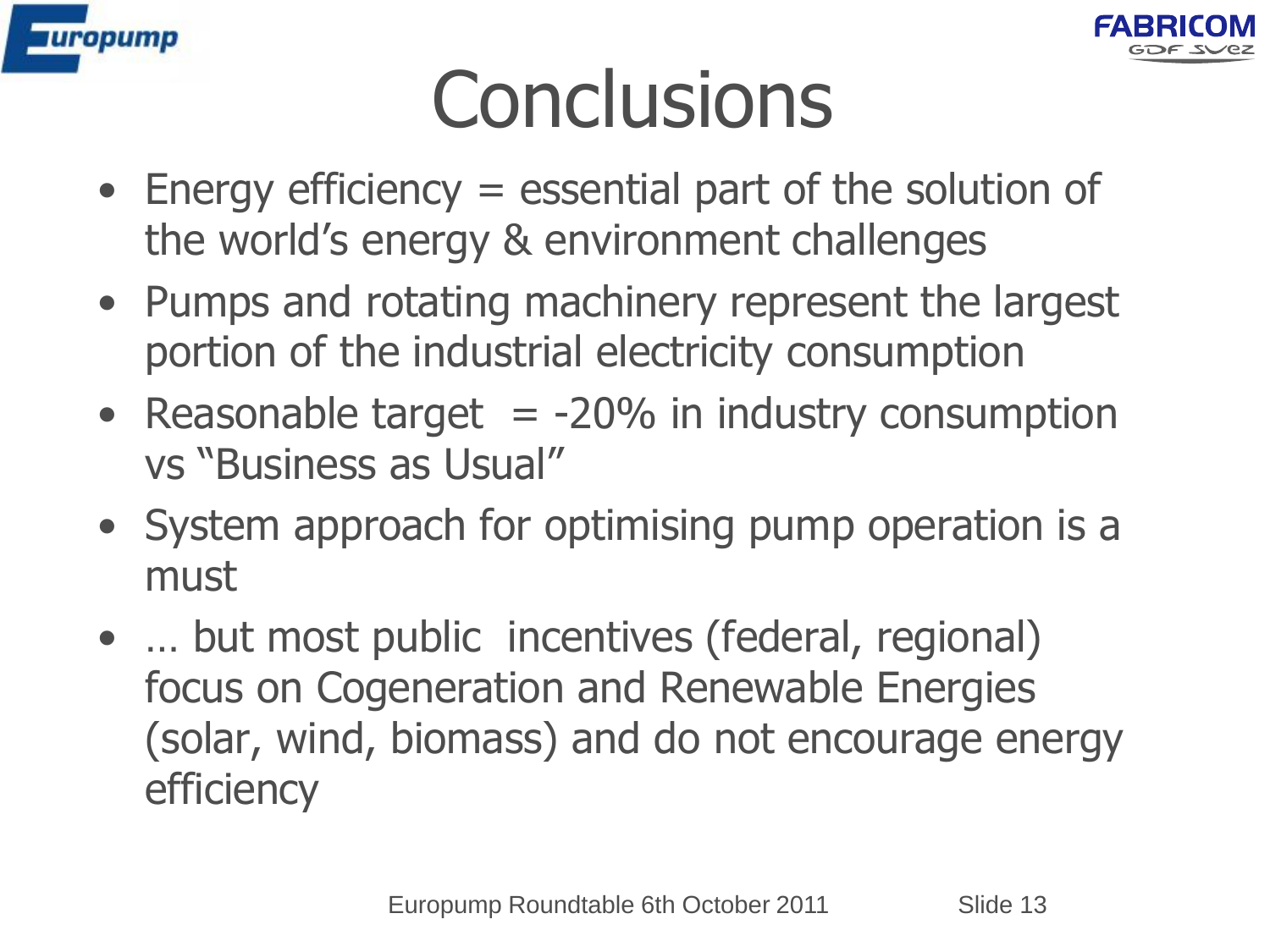



# **Conclusions**

- Energy efficiency = essential part of the solution of the world's energy & environment challenges
- Pumps and rotating machinery represent the largest portion of the industrial electricity consumption
- Reasonable target  $= -20\%$  in industry consumption vs "Business as Usual"
- System approach for optimising pump operation is a must
- ... but most public incentives (federal, regional) focus on Cogeneration and Renewable Energies (solar, wind, biomass) and do not encourage energy efficiency